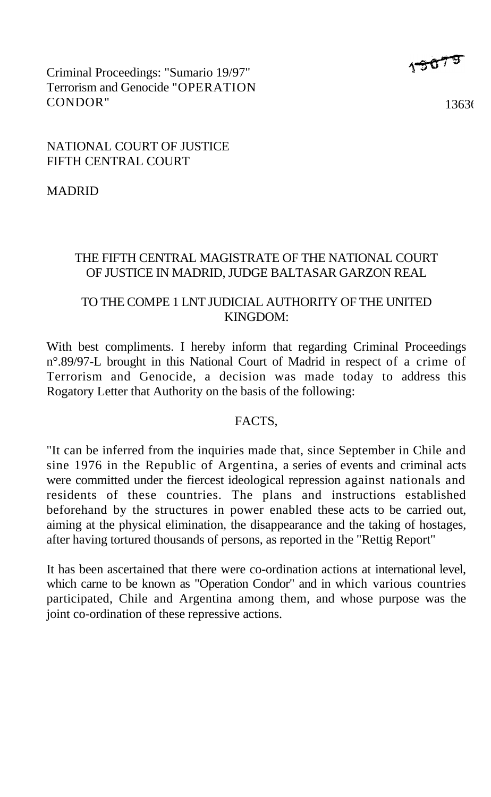Criminal Proceedings: "Sumario 19/97" Terrorism and Genocide "OPERATION CONDOR"

 $15075$ 

 $13636$ 

## NATIONAL COURT OF JUSTICE FIFTH CENTRAL COURT

MADRID

## THE FIFTH CENTRAL MAGISTRATE OF THE NATIONAL COURT OF JUSTICE IN MADRID, JUDGE BALTASAR GARZON REAL

## TO THE COMPE 1 LNT IUDICIAL AUTHORITY OF THE UNITED KINGDOM:

With best compliments. I hereby inform that regarding Criminal Proceedings n°.89/97-L brought in this National Court of Madrid in respect of a crime of Terrorism and Genocide, a decision was made today to address this Rogatory Letter that Authority on the basis of the following:

#### FACTS,

"It can be inferred from the inquiries made that, since September in Chile and sine 1976 in the Republic of Argentina, a series of events and criminal acts were committed under the fiercest ideological repression against nationals and residents of these countries. The plans and instructions established beforehand by the structures in power enabled these acts to be carried out, aiming at the physical elimination, the disappearance and the taking of hostages, after having tortured thousands of persons, as reported in the "Rettig Report"

It has been ascertained that there were co-ordination actions at international level, which carne to be known as "Operation Condor" and in which various countries participated, Chile and Argentina among them, and whose purpose was the joint co-ordination of these repressive actions.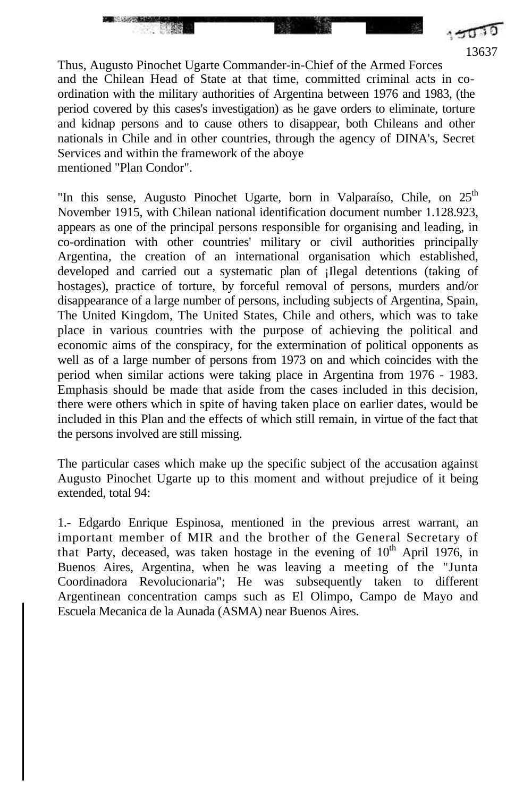13637 Thus, Augusto Pinochet Ugarte Commander-in-Chief of the Armed Forces and the Chilean Head of State at that time, committed criminal acts in coordination with the military authorities of Argentina between 1976 and 1983, (the period covered by this cases's investigation) as he gave orders to eliminate, torture and kidnap persons and to cause others to disappear, both Chileans and other nationals in Chile and in other countries, through the agency of DINA's, Secret Services and within the framework of the aboye mentioned "Plan Condor".

**Excession Contract** 

"In this sense, Augusto Pinochet Ugarte, born in Valparaíso, Chile, on  $25<sup>th</sup>$ November 1915, with Chilean national identification document number 1.128.923, appears as one of the principal persons responsible for organising and leading, in co-ordination with other countries' military or civil authorities principally Argentina, the creation of an international organisation which established, developed and carried out a systematic plan of ¡Ilegal detentions (taking of hostages), practice of torture, by forceful removal of persons, murders and/or disappearance of a large number of persons, including subjects of Argentina, Spain, The United Kingdom, The United States, Chile and others, which was to take place in various countries with the purpose of achieving the political and economic aims of the conspiracy, for the extermination of political opponents as well as of a large number of persons from 1973 on and which coincides with the period when similar actions were taking place in Argentina from 1976 - 1983. Emphasis should be made that aside from the cases included in this decision, there were others which in spite of having taken place on earlier dates, would be included in this Plan and the effects of which still remain, in virtue of the fact that the persons involved are still missing.

The particular cases which make up the specific subject of the accusation against Augusto Pinochet Ugarte up to this moment and without prejudice of it being extended, total 94:

1.- Edgardo Enrique Espinosa, mentioned in the previous arrest warrant, an important member of MIR and the brother of the General Secretary of that Party, deceased, was taken hostage in the evening of  $10<sup>th</sup>$  April 1976, in Buenos Aires, Argentina, when he was leaving a meeting of the "Junta Coordinadora Revolucionaria"; He was subsequently taken to different Argentinean concentration camps such as El Olimpo, Campo de Mayo and Escuela Mecanica de la Aunada (ASMA) near Buenos Aires.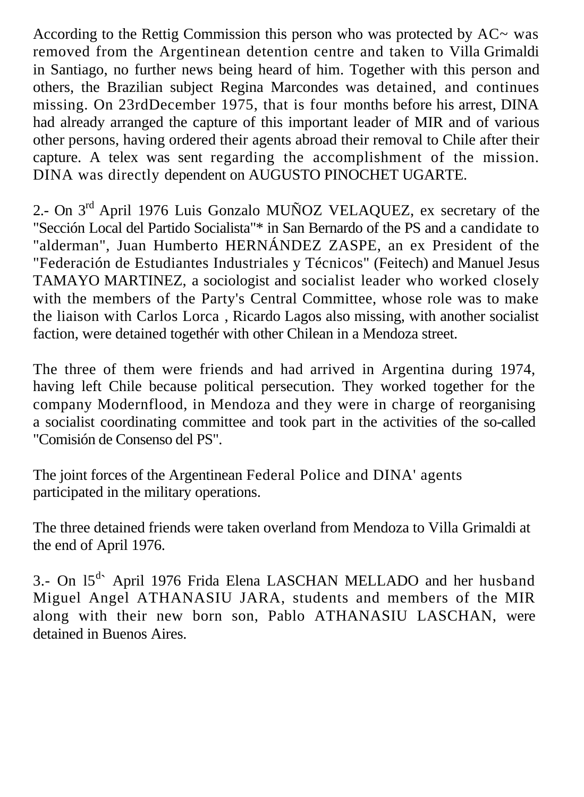According to the Rettig Commission this person who was protected by  $AC \sim$  was removed from the Argentinean detention centre and taken to Villa Grimaldi in Santiago, no further news being heard of him. Together with this person and others, the Brazilian subject Regina Marcondes was detained, and continues missing. On 23rdDecember 1975, that is four months before his arrest, DINA had already arranged the capture of this important leader of MIR and of various other persons, having ordered their agents abroad their removal to Chile after their capture. A telex was sent regarding the accomplishment of the mission. DINA was directly dependent on AUGUSTO PINOCHET UGARTE.

2.- On 3<sup>rd</sup> April 1976 Luis Gonzalo MUÑOZ VELAQUEZ, ex secretary of the "Sección Local del Partido Socialista"\* in San Bernardo of the PS and a candidate to "alderman", Juan Humberto HERNÁNDEZ ZASPE, an ex President of the "Federación de Estudiantes Industriales y Técnicos" (Feitech) and Manuel Jesus TAMAYO MARTINEZ, a sociologist and socialist leader who worked closely with the members of the Party's Central Committee, whose role was to make the liaison with Carlos Lorca , Ricardo Lagos also missing, with another socialist faction, were detained togethér with other Chilean in a Mendoza street.

The three of them were friends and had arrived in Argentina during 1974, having left Chile because political persecution. They worked together for the company Modernflood, in Mendoza and they were in charge of reorganising a socialist coordinating committee and took part in the activities of the so-called "Comisión de Consenso del PS".

The joint forces of the Argentinean Federal Police and DINA' agents participated in the military operations.

The three detained friends were taken overland from Mendoza to Villa Grimaldi at the end of April 1976.

3.- On 15<sup>d</sup> April 1976 Frida Elena LASCHAN MELLADO and her husband Miguel Angel ATHANASIU JARA, students and members of the MIR along with their new born son, Pablo ATHANASIU LASCHAN, were detained in Buenos Aires.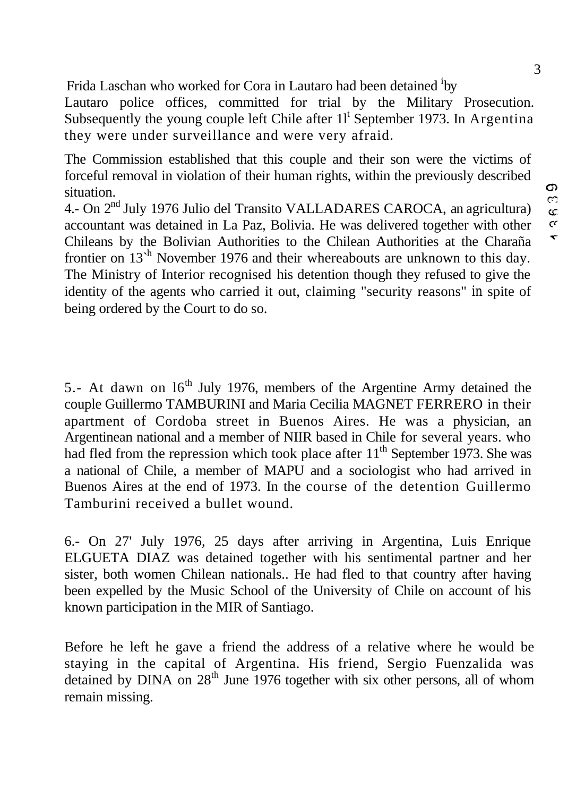Frida Laschan who worked for Cora in Lautaro had been detained <sup>i</sup>by

Lautaro police offices, committed for trial by the Military Prosecution. Subsequently the young couple left Chile after  $11<sup>t</sup>$  September 1973. In Argentina they were under surveillance and were very afraid.

The Commission established that this couple and their son were the victims of forceful removal in violation of their human rights, within the previously described situation.

4.- On 2nd July 1976 Julio del Transito VALLADARES CAROCA, an agricultura) accountant was detained in La Paz, Bolivia. He was delivered together with other Chileans by the Bolivian Authorities to the Chilean Authorities at the Charaña frontier on  $13<sup>h</sup>$  November 1976 and their whereabouts are unknown to this day. The Ministry of Interior recognised his detention though they refused to give the identity of the agents who carried it out, claiming "security reasons" in spite of being ordered by the Court to do so.

5.- At dawn on  $16<sup>th</sup>$  July 1976, members of the Argentine Army detained the couple Guillermo TAMBURINI and Maria Cecilia MAGNET FERRERO in their apartment of Cordoba street in Buenos Aires. He was a physician, an Argentinean national and a member of NIIR based in Chile for several years. who had fled from the repression which took place after  $11<sup>th</sup>$  September 1973. She was a national of Chile, a member of MAPU and a sociologist who had arrived in Buenos Aires at the end of 1973. In the course of the detention Guillermo Tamburini received a bullet wound.

6.- On 27' July 1976, 25 days after arriving in Argentina, Luis Enrique ELGUETA DIAZ was detained together with his sentimental partner and her sister, both women Chilean nationals.. He had fled to that country after having been expelled by the Music School of the University of Chile on account of his known participation in the MIR of Santiago.

Before he left he gave a friend the address of a relative where he would be staying in the capital of Argentina. His friend, Sergio Fuenzalida was detained by DINA on  $28<sup>th</sup>$  June 1976 together with six other persons, all of whom remain missing.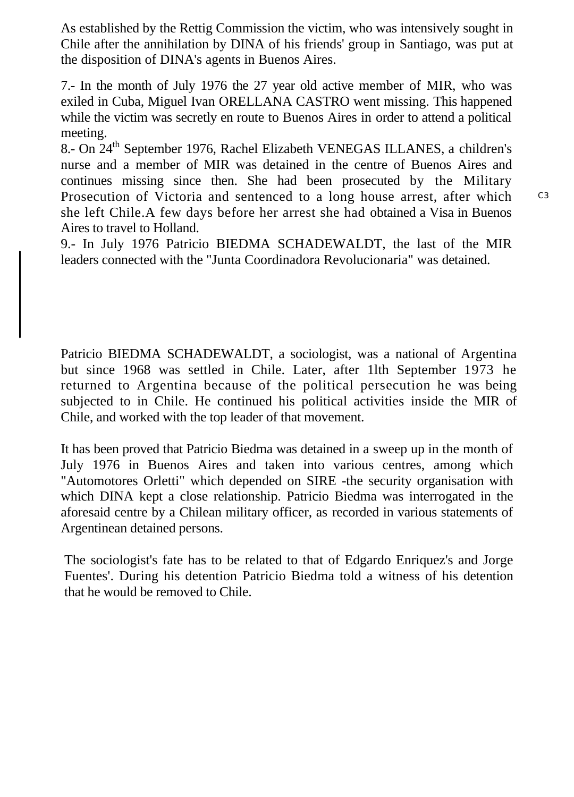As established by the Rettig Commission the victim, who was intensively sought in Chile after the annihilation by DINA of his friends' group in Santiago, was put at the disposition of DINA's agents in Buenos Aires.

7.- In the month of July 1976 the 27 year old active member of MIR, who was exiled in Cuba, Miguel Ivan ORELLANA CASTRO went missing. This happened while the victim was secretly en route to Buenos Aires in order to attend a political meeting.

8.- On 24th September 1976, Rachel Elizabeth VENEGAS ILLANES, a children's nurse and a member of MIR was detained in the centre of Buenos Aires and continues missing since then. She had been prosecuted by the Military Prosecution of Victoria and sentenced to a long house arrest, after which she left Chile.A few days before her arrest she had obtained a Visa in Buenos Aires to travel to Holland.

9.- In July 1976 Patricio BIEDMA SCHADEWALDT, the last of the MIR leaders connected with the "Junta Coordinadora Revolucionaria" was detained.

Patricio BIEDMA SCHADEWALDT, a sociologist, was a national of Argentina but since 1968 was settled in Chile. Later, after 1lth September 1973 he returned to Argentina because of the political persecution he was being subjected to in Chile. He continued his political activities inside the MIR of Chile, and worked with the top leader of that movement.

It has been proved that Patricio Biedma was detained in a sweep up in the month of July 1976 in Buenos Aires and taken into various centres, among which "Automotores Orletti" which depended on SIRE -the security organisation with which DINA kept a close relationship. Patricio Biedma was interrogated in the aforesaid centre by a Chilean military officer, as recorded in various statements of Argentinean detained persons.

The sociologist's fate has to be related to that of Edgardo Enriquez's and Jorge Fuentes'. During his detention Patricio Biedma told a witness of his detention that he would be removed to Chile.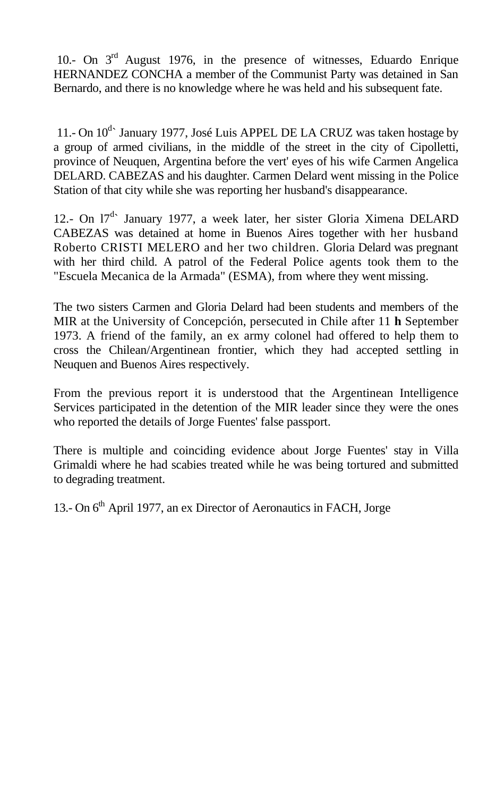10.- On 3<sup>rd</sup> August 1976, in the presence of witnesses, Eduardo Enrique HERNANDEZ CONCHA a member of the Communist Party was detained in San Bernardo, and there is no knowledge where he was held and his subsequent fate.

11.- On  $10^{d}$  January 1977, José Luis APPEL DE LA CRUZ was taken hostage by a group of armed civilians, in the middle of the street in the city of Cipolletti, province of Neuquen, Argentina before the vert' eyes of his wife Carmen Angelica DELARD. CABEZAS and his daughter. Carmen Delard went missing in the Police Station of that city while she was reporting her husband's disappearance.

12.- On 17<sup>d</sup> January 1977, a week later, her sister Gloria Ximena DELARD CABEZAS was detained at home in Buenos Aires together with her husband Roberto CRISTI MELERO and her two children. Gloria Delard was pregnant with her third child. A patrol of the Federal Police agents took them to the "Escuela Mecanica de la Armada" (ESMA), from where they went missing.

The two sisters Carmen and Gloria Delard had been students and members of the MIR at the University of Concepción, persecuted in Chile after 11 **h** September 1973. A friend of the family, an ex army colonel had offered to help them to cross the Chilean/Argentinean frontier, which they had accepted settling in Neuquen and Buenos Aires respectively.

From the previous report it is understood that the Argentinean Intelligence Services participated in the detention of the MIR leader since they were the ones who reported the details of Jorge Fuentes' false passport.

There is multiple and coinciding evidence about Jorge Fuentes' stay in Villa Grimaldi where he had scabies treated while he was being tortured and submitted to degrading treatment.

13.- On 6<sup>th</sup> April 1977, an ex Director of Aeronautics in FACH, Jorge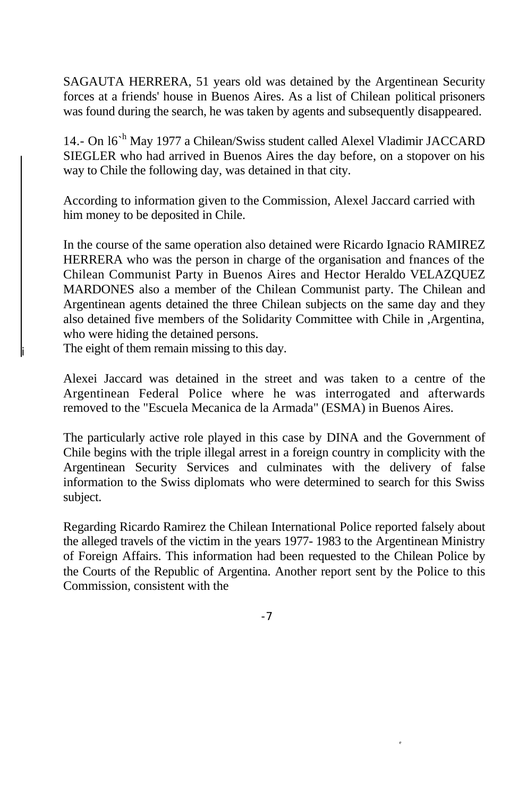SAGAUTA HERRERA, 51 years old was detained by the Argentinean Security forces at a friends' house in Buenos Aires. As a list of Chilean political prisoners was found during the search, he was taken by agents and subsequently disappeared.

14.- On 16<sup>ch</sup> May 1977 a Chilean/Swiss student called Alexel Vladimir JACCARD SIEGLER who had arrived in Buenos Aires the day before, on a stopover on his way to Chile the following day, was detained in that city.

According to information given to the Commission, Alexel Jaccard carried with him money to be deposited in Chile.

In the course of the same operation also detained were Ricardo Ignacio RAMIREZ HERRERA who was the person in charge of the organisation and fnances of the Chilean Communist Party in Buenos Aires and Hector Heraldo VELAZQUEZ MARDONES also a member of the Chilean Communist party. The Chilean and Argentinean agents detained the three Chilean subjects on the same day and they also detained five members of the Solidarity Committee with Chile in ,Argentina, who were hiding the detained persons.

The eight of them remain missing to this day.

i

Alexei Jaccard was detained in the street and was taken to a centre of the Argentinean Federal Police where he was interrogated and afterwards removed to the "Escuela Mecanica de la Armada" (ESMA) in Buenos Aires.

The particularly active role played in this case by DINA and the Government of Chile begins with the triple illegal arrest in a foreign country in complicity with the Argentinean Security Services and culminates with the delivery of false information to the Swiss diplomats who were determined to search for this Swiss subject.

Regarding Ricardo Ramirez the Chilean International Police reported falsely about the alleged travels of the victim in the years 1977- 1983 to the Argentinean Ministry of Foreign Affairs. This information had been requested to the Chilean Police by the Courts of the Republic of Argentina. Another report sent by the Police to this Commission, consistent with the

-7

e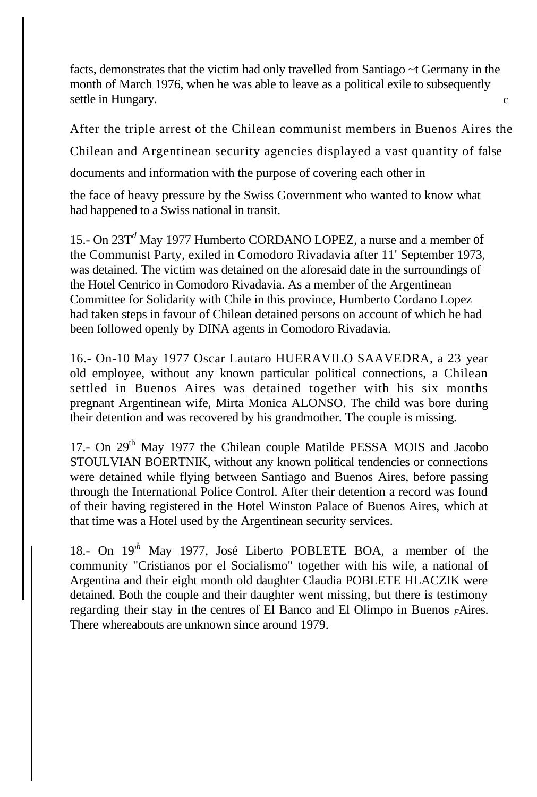facts, demonstrates that the victim had only travelled from Santiago ~t Germany in the month of March 1976, when he was able to leave as a political exile to subsequently settle in Hungary.

After the triple arrest of the Chilean communist members in Buenos Aires the

Chilean and Argentinean security agencies displayed a vast quantity of false

documents and information with the purpose of covering each other in

the face of heavy pressure by the Swiss Government who wanted to know what had happened to a Swiss national in transit.

15.- On 23T*<sup>d</sup>* May 1977 Humberto CORDANO LOPEZ, a nurse and a member of the Communist Party, exiled in Comodoro Rivadavia after 11' September 1973, was detained. The victim was detained on the aforesaid date in the surroundings of the Hotel Centrico in Comodoro Rivadavia. As a member of the Argentinean Committee for Solidarity with Chile in this province, Humberto Cordano Lopez had taken steps in favour of Chilean detained persons on account of which he had been followed openly by DINA agents in Comodoro Rivadavia.

16.- On-10 May 1977 Oscar Lautaro HUERAVILO SAAVEDRA, a 23 year old employee, without any known particular political connections, a Chilean settled in Buenos Aires was detained together with his six months pregnant Argentinean wife, Mirta Monica ALONSO. The child was bore during their detention and was recovered by his grandmother. The couple is missing.

17.- On 29<sup>th</sup> May 1977 the Chilean couple Matilde PESSA MOIS and Jacobo STOULVIAN BOERTNIK, without any known political tendencies or connections were detained while flying between Santiago and Buenos Aires, before passing through the International Police Control. After their detention a record was found of their having registered in the Hotel Winston Palace of Buenos Aires, which at that time was a Hotel used by the Argentinean security services.

18.- On 19'*<sup>h</sup>* May 1977, José Liberto POBLETE BOA, a member of the community "Cristianos por el Socialismo" together with his wife, a national of Argentina and their eight month old daughter Claudia POBLETE HLACZIK were detained. Both the couple and their daughter went missing, but there is testimony regarding their stay in the centres of El Banco and El Olimpo in Buenos *<sup>E</sup>*Aires. There whereabouts are unknown since around 1979.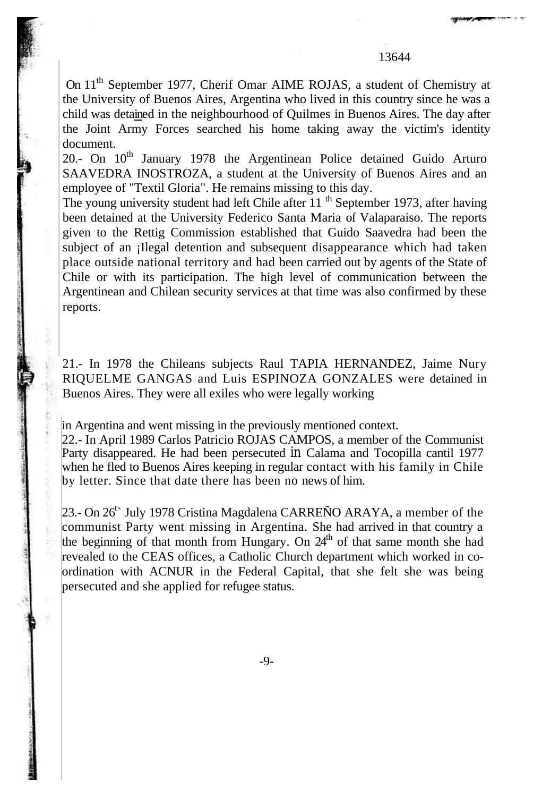On 11<sup>th</sup> September 1977, Cherif Omar AIME ROJAS, a student of Chemistry at the University of Buenos Aires, Argentina who lived in this country since he was a child was detained in the neighbourhood of Quilmes in Buenos Aires. The day after the Joint Army Forces searched his home taking away the victim's identity document.

20.- On  $10^{th}$  January 1978 the Argentinean Police detained Guido Arturo SAAVEDRA INOSTROZA, a student at the University of Buenos Aires and an employee of "Textil Gloria". He remains missing to this day.

The young university student had left Chile after  $11<sup>th</sup>$  September 1973, after having been detained at the University Federico Santa Maria of Valaparaiso. The reports given to the Rettig Commission established that Guido Saavedra had been the subject of an illegal detention and subsequent disappearance which had taken place outside national territory and had been carried out by agents of the State of Chile or with its participation. The high level of communication between the Argentinean and Chilean security services at that time was also confirmed by these reports.

21.- In 1978 the Chileans subjects Raul TAPIA HERNANDEZ, Jaime Nury RIQUELME GANGAS and Luis ESPINOZA GONZALES were detained in Buenos Aires. They were all exiles who were legally working

in Argentina and went missing in the previously mentioned context.

22.- In April 1989 Carlos Patricio ROJAS CAMPOS, a member of the Communist Party disappeared. He had been persecuted in Calama and Tocopilla cantil 1977 when he fled to Buenos Aires keeping in regular contact with his family in Chile by letter. Since that date there has been no news of him.

23.- On 26<sup>t</sup> July 1978 Cristina Magdalena CARREÑO ARAYA, a member of the communist Party went missing in Argentina. She had arrived in that country a the beginning of that month from Hungary. On  $24<sup>th</sup>$  of that same month she had revealed to the CEAS offices, a Catholic Church department which worked in coordination with ACNUR in the Federal Capital, that she felt she was being persecuted and she applied for refugee status.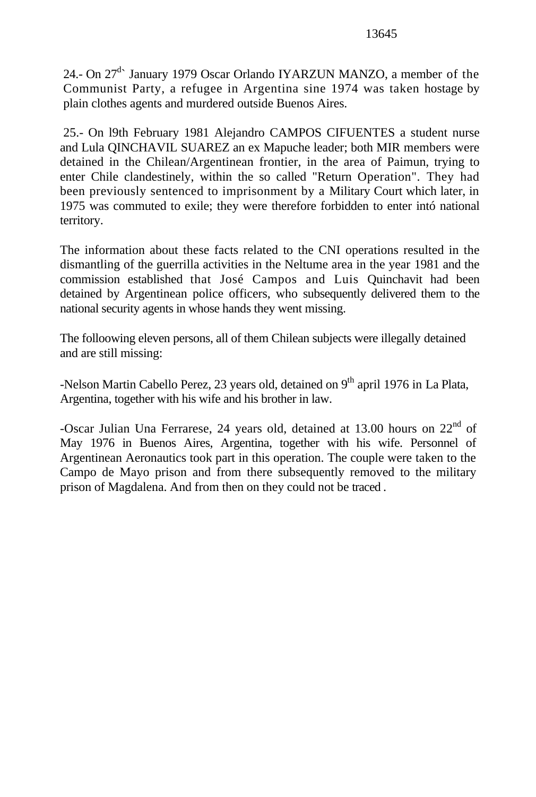24.- On 27<sup>d</sup> January 1979 Oscar Orlando IYARZUN MANZO, a member of the Communist Party, a refugee in Argentina sine 1974 was taken hostage by plain clothes agents and murdered outside Buenos Aires.

25.- On l9th February 1981 Alejandro CAMPOS CIFUENTES a student nurse and Lula QINCHAVIL SUAREZ an ex Mapuche leader; both MIR members were detained in the Chilean/Argentinean frontier, in the area of Paimun, trying to enter Chile clandestinely, within the so called "Return Operation". They had been previously sentenced to imprisonment by a Military Court which later, in 1975 was commuted to exile; they were therefore forbidden to enter intó national territory.

The information about these facts related to the CNI operations resulted in the dismantling of the guerrilla activities in the Neltume area in the year 1981 and the commission established that José Campos and Luis Quinchavit had been detained by Argentinean police officers, who subsequently delivered them to the national security agents in whose hands they went missing.

The folloowing eleven persons, all of them Chilean subjects were illegally detained and are still missing:

-Nelson Martin Cabello Perez, 23 years old, detained on 9<sup>th</sup> april 1976 in La Plata, Argentina, together with his wife and his brother in law.

-Oscar Julian Una Ferrarese, 24 years old, detained at 13.00 hours on  $22<sup>nd</sup>$  of May 1976 in Buenos Aires, Argentina, together with his wife. Personnel of Argentinean Aeronautics took part in this operation. The couple were taken to the Campo de Mayo prison and from there subsequently removed to the military prison of Magdalena. And from then on they could not be traced .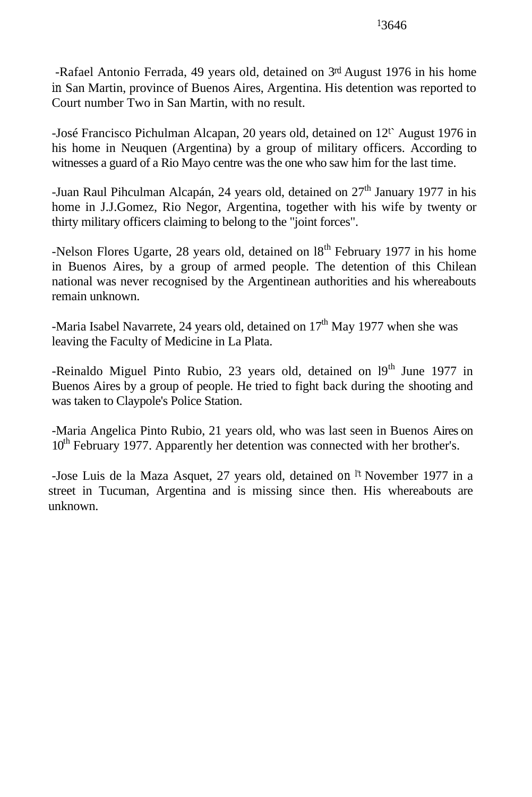-Rafael Antonio Ferrada, 49 years old, detained on 3rd August 1976 in his home in San Martin, province of Buenos Aires, Argentina. His detention was reported to Court number Two in San Martin, with no result.

-José Francisco Pichulman Alcapan, 20 years old, detained on  $12<sup>t</sup>$  August 1976 in his home in Neuquen (Argentina) by a group of military officers. According to witnesses a guard of a Rio Mayo centre was the one who saw him for the last time.

-Juan Raul Pihculman Alcapán, 24 years old, detained on  $27<sup>th</sup>$  January 1977 in his home in J.J.Gomez, Rio Negor, Argentina, together with his wife by twenty or thirty military officers claiming to belong to the "joint forces".

-Nelson Flores Ugarte, 28 years old, detained on  $18<sup>th</sup>$  February 1977 in his home in Buenos Aires, by a group of armed people. The detention of this Chilean national was never recognised by the Argentinean authorities and his whereabouts remain unknown.

-Maria Isabel Navarrete, 24 years old, detained on  $17<sup>th</sup>$  May 1977 when she was leaving the Faculty of Medicine in La Plata.

-Reinaldo Miguel Pinto Rubio, 23 years old, detained on 19<sup>th</sup> June 1977 in Buenos Aires by a group of people. He tried to fight back during the shooting and was taken to Claypole's Police Station.

-Maria Angelica Pinto Rubio, 21 years old, who was last seen in Buenos Aires on 10<sup>th</sup> February 1977. Apparently her detention was connected with her brother's.

-Jose Luis de la Maza Asquet, 27 years old, detained on l't November 1977 in a street in Tucuman, Argentina and is missing since then. His whereabouts are unknown.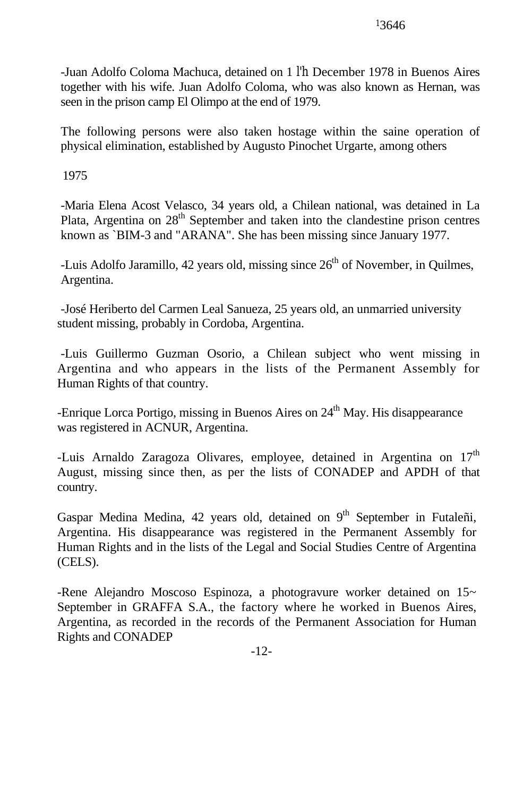-Juan Adolfo Coloma Machuca, detained on 1 l'h December 1978 in Buenos Aires together with his wife. Juan Adolfo Coloma, who was also known as Hernan, was seen in the prison camp El Olimpo at the end of 1979.

The following persons were also taken hostage within the saine operation of physical elimination, established by Augusto Pinochet Urgarte, among others

1975

-Maria Elena Acost Velasco, 34 years old, a Chilean national, was detained in La Plata, Argentina on  $28<sup>th</sup>$  September and taken into the clandestine prison centres known as `BIM-3 and "ARANA". She has been missing since January 1977.

-Luis Adolfo Jaramillo, 42 years old, missing since  $26<sup>th</sup>$  of November, in Quilmes, Argentina.

-José Heriberto del Carmen Leal Sanueza, 25 years old, an unmarried university student missing, probably in Cordoba, Argentina.

-Luis Guillermo Guzman Osorio, a Chilean subject who went missing in Argentina and who appears in the lists of the Permanent Assembly for Human Rights of that country.

-Enrique Lorca Portigo, missing in Buenos Aires on 24<sup>th</sup> May. His disappearance was registered in ACNUR, Argentina.

-Luis Arnaldo Zaragoza Olivares, employee, detained in Argentina on  $17<sup>th</sup>$ August, missing since then, as per the lists of CONADEP and APDH of that country.

Gaspar Medina Medina, 42 years old, detained on 9<sup>th</sup> September in Futaleñi, Argentina. His disappearance was registered in the Permanent Assembly for Human Rights and in the lists of the Legal and Social Studies Centre of Argentina (CELS).

-Rene Alejandro Moscoso Espinoza, a photogravure worker detained on 15~ September in GRAFFA S.A., the factory where he worked in Buenos Aires, Argentina, as recorded in the records of the Permanent Association for Human Rights and CONADEP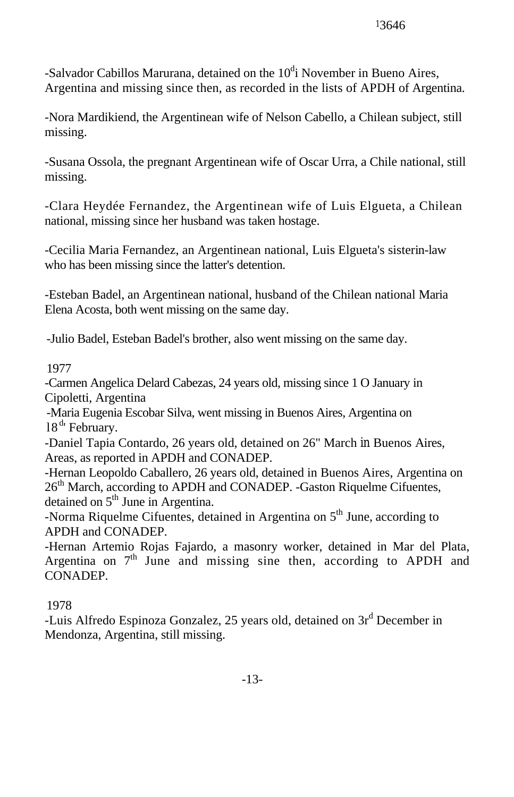-Salvador Cabillos Marurana, detained on the  $10<sup>d</sup>$ i November in Bueno Aires, Argentina and missing since then, as recorded in the lists of APDH of Argentina.

-Nora Mardikiend, the Argentinean wife of Nelson Cabello, a Chilean subject, still missing.

-Susana Ossola, the pregnant Argentinean wife of Oscar Urra, a Chile national, still missing.

-Clara Heydée Fernandez, the Argentinean wife of Luis Elgueta, a Chilean national, missing since her husband was taken hostage.

-Cecilia Maria Fernandez, an Argentinean national, Luis Elgueta's sisterin-law who has been missing since the latter's detention.

-Esteban Badel, an Argentinean national, husband of the Chilean national Maria Elena Acosta, both went missing on the same day.

-Julio Badel, Esteban Badel's brother, also went missing on the same day.

# 1977

-Carmen Angelica Delard Cabezas, 24 years old, missing since 1 O January in Cipoletti, Argentina

-Maria Eugenia Escobar Silva, went missing in Buenos Aires, Argentina on 18<sup>d</sup>' February.

-Daniel Tapia Contardo, 26 years old, detained on 26" March in Buenos Aires, Areas, as reported in APDH and CONADEP.

-Hernan Leopoldo Caballero, 26 years old, detained in Buenos Aires, Argentina on 26<sup>th</sup> March, according to APDH and CONADEP. -Gaston Riquelme Cifuentes, detained on 5<sup>th</sup> June in Argentina.

-Norma Riquelme Cifuentes, detained in Argentina on 5<sup>th</sup> June, according to APDH and CONADEP.

-Hernan Artemio Rojas Fajardo, a masonry worker, detained in Mar del Plata, Argentina on  $7<sup>th</sup>$  June and missing sine then, according to APDH and CONADEP.

# 1978

-Luis Alfredo Espinoza Gonzalez, 25 years old, detained on 3r<sup>d</sup> December in Mendonza, Argentina, still missing.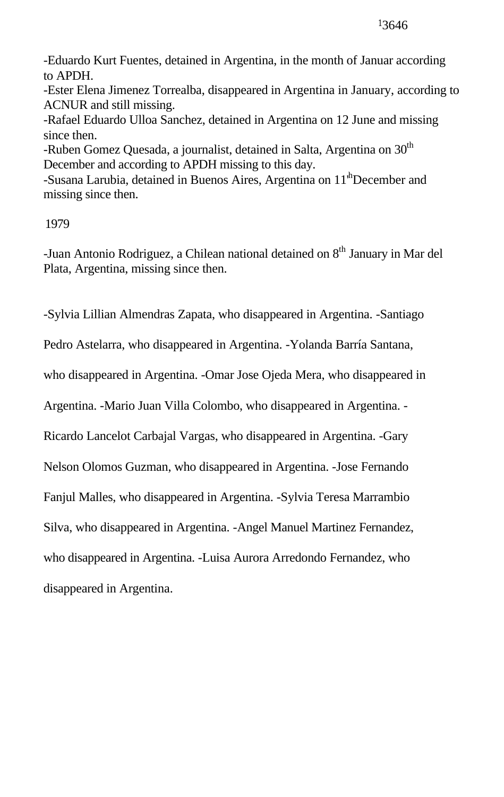-Eduardo Kurt Fuentes, detained in Argentina, in the month of Januar according to APDH.

-Ester Elena Jimenez Torrealba, disappeared in Argentina in January, according to ACNUR and still missing.

-Rafael Eduardo Ulloa Sanchez, detained in Argentina on 12 June and missing since then.

-Ruben Gomez Quesada, a journalist, detained in Salta, Argentina on 30<sup>th</sup> December and according to APDH missing to this day.

-Susana Larubia, detained in Buenos Aires, Argentina on 11'<sup>h</sup>December and missing since then.

1979

-Juan Antonio Rodriguez, a Chilean national detained on 8<sup>th</sup> January in Mar del Plata, Argentina, missing since then.

-Sylvia Lillian Almendras Zapata, who disappeared in Argentina. -Santiago

Pedro Astelarra, who disappeared in Argentina. -Yolanda Barría Santana,

who disappeared in Argentina. -Omar Jose Ojeda Mera, who disappeared in

Argentina. -Mario Juan Villa Colombo, who disappeared in Argentina. -

Ricardo Lancelot Carbajal Vargas, who disappeared in Argentina. -Gary

Nelson Olomos Guzman, who disappeared in Argentina. -Jose Fernando

Fanjul Malles, who disappeared in Argentina. -Sylvia Teresa Marrambio

Silva, who disappeared in Argentina. -Angel Manuel Martinez Fernandez,

who disappeared in Argentina. -Luisa Aurora Arredondo Fernandez, who

disappeared in Argentina.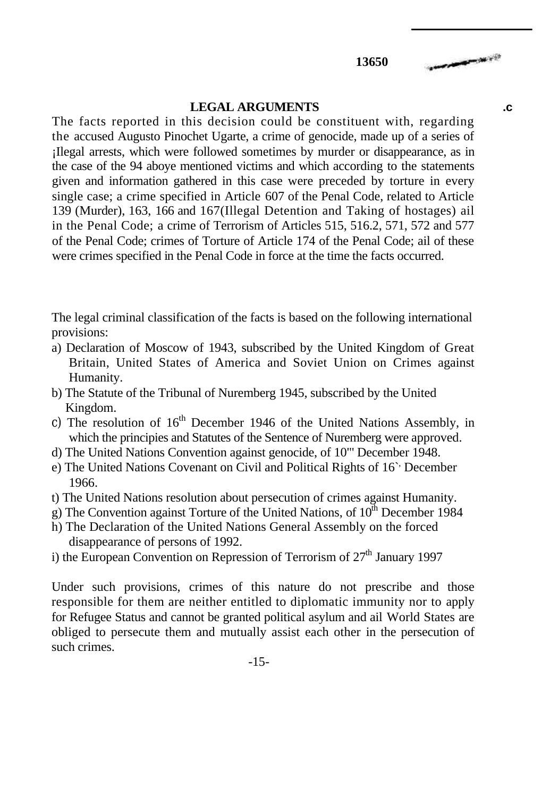#### **LEGAL ARGUMENTS .c**

The facts reported in this decision could be constituent with, regarding the accused Augusto Pinochet Ugarte, a crime of genocide, made up of a series of ¡Ilegal arrests, which were followed sometimes by murder or disappearance, as in the case of the 94 aboye mentioned victims and which according to the statements given and information gathered in this case were preceded by torture in every single case; a crime specified in Article 607 of the Penal Code, related to Article 139 (Murder), 163, 166 and 167(Illegal Detention and Taking of hostages) ail in the Penal Code; a crime of Terrorism of Articles 515, 516.2, 571, 572 and 577 of the Penal Code; crimes of Torture of Article 174 of the Penal Code; ail of these were crimes specified in the Penal Code in force at the time the facts occurred.

The legal criminal classification of the facts is based on the following international provisions:

- a) Declaration of Moscow of 1943, subscribed by the United Kingdom of Great Britain, United States of America and Soviet Union on Crimes against Humanity.
- b) The Statute of the Tribunal of Nuremberg 1945, subscribed by the United Kingdom.
- c) The resolution of  $16<sup>th</sup>$  December 1946 of the United Nations Assembly, in which the principies and Statutes of the Sentence of Nuremberg were approved.
- d) The United Nations Convention against genocide, of 10"' December 1948.
- e) The United Nations Covenant on Civil and Political Rights of 16<sup>o</sup> December 1966.
- t) The United Nations resolution about persecution of crimes against Humanity.
- g) The Convention against Torture of the United Nations, of  $10<sup>th</sup>$  December 1984
- h) The Declaration of the United Nations General Assembly on the forced disappearance of persons of 1992.
- i) the European Convention on Repression of Terrorism of  $27<sup>th</sup>$  January 1997

Under such provisions, crimes of this nature do not prescribe and those responsible for them are neither entitled to diplomatic immunity nor to apply for Refugee Status and cannot be granted political asylum and ail World States are obliged to persecute them and mutually assist each other in the persecution of such crimes.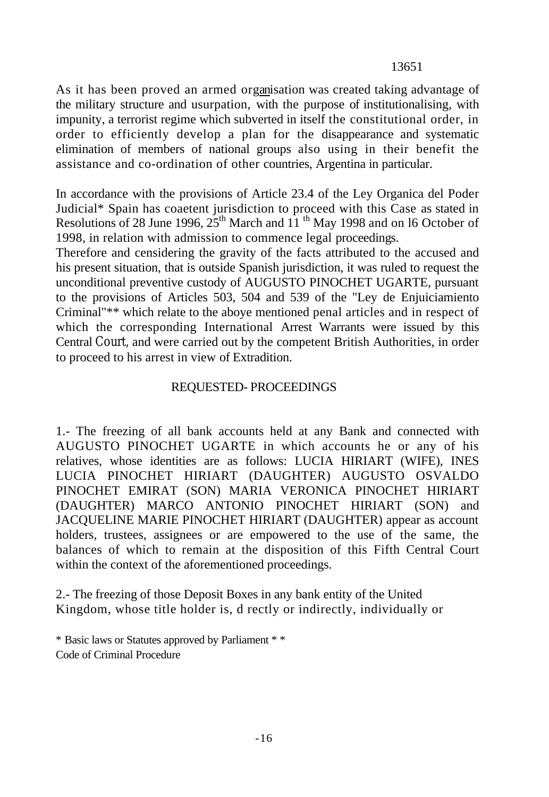## 13651

As it has been proved an armed organisation was created taking advantage of the military structure and usurpation, with the purpose of institutionalising, with impunity, a terrorist regime which subverted in itself the constitutional order, in order to efficiently develop a plan for the disappearance and systematic elimination of members of national groups also using in their benefit the assistance and co-ordination of other countries, Argentina in particular.

In accordance with the provisions of Article 23.4 of the Ley Organica del Poder Judicial\* Spain has coaetent jurisdiction to proceed with this Case as stated in Resolutions of 28 June 1996,  $25<sup>th</sup>$  March and  $11<sup>th</sup>$  May 1998 and on 16 October of 1998, in relation with admission to commence legal proceedings.

Therefore and censidering the gravity of the facts attributed to the accused and his present situation, that is outside Spanish jurisdiction, it was ruled to request the unconditional preventive custody of AUGUSTO PINOCHET UGARTE, pursuant to the provisions of Articles 503, 504 and 539 of the "Ley de Enjuiciamiento Criminal"\*\* which relate to the aboye mentioned penal articles and in respect of which the corresponding International Arrest Warrants were issued by this Central Court, and were carried out by the competent British Authorities, in order to proceed to his arrest in view of Extradition.

## REQUESTED- PROCEEDINGS

1.- The freezing of all bank accounts held at any Bank and connected with AUGUSTO PINOCHET UGARTE in which accounts he or any of his relatives, whose identities are as follows: LUCIA HIRIART (WIFE), INES LUCIA PINOCHET HIRIART (DAUGHTER) AUGUSTO OSVALDO PINOCHET EMIRAT (SON) MARIA VERONICA PINOCHET HIRIART (DAUGHTER) MARCO ANTONIO PINOCHET HIRIART (SON) and JACQUELINE MARIE PINOCHET HIRIART (DAUGHTER) appear as account holders, trustees, assignees or are empowered to the use of the same, the balances of which to remain at the disposition of this Fifth Central Court within the context of the aforementioned proceedings.

2.- The freezing of those Deposit Boxes in any bank entity of the United Kingdom, whose title holder is, d rectly or indirectly, individually or

<sup>\*</sup> Basic laws or Statutes approved by Parliament \* \* Code of Criminal Procedure